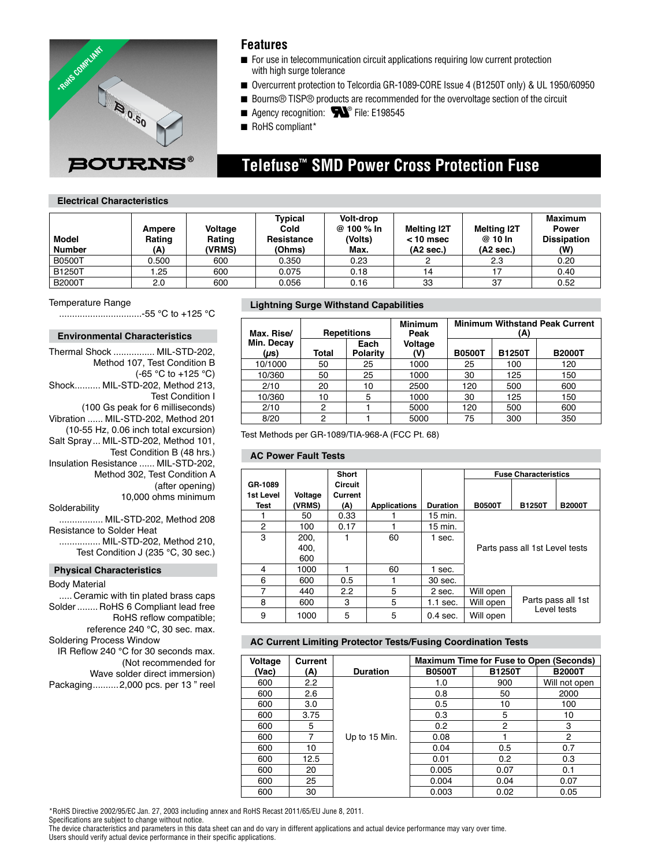

### **Features**

- For use in telecommunication circuit applications requiring low current protection with high surge tolerance
- Overcurrent protection to Telcordia GR-1089-CORE Issue 4 (B1250T only) & UL 1950/60950
- Bourns<sup>®</sup> TISP<sup>®</sup> products are recommended for the overvoltage section of the circuit
- **Agency recognition:**  $\bullet$  File: E198545
- RoHS compliant\*

# **Telefuse™ SMD Power Cross Protection Fuse**

#### **Electrical Characteristics**

| <b>Model</b><br><b>Number</b> | Ampere<br>Rating<br>(A) | Voltage<br>Rating<br>(VRMS) | Typical<br>Cold<br>Resistance<br>(Ohms) | Volt-drop<br>@ 100 % In<br>(Volts)<br>Max. | <b>Melting I2T</b><br>$< 10$ msec<br>(A2 sec.) | <b>Melting I2T</b><br>@ 10 In<br>(A2 sec.) | <b>Maximum</b><br><b>Power</b><br><b>Dissipation</b><br>(W) |
|-------------------------------|-------------------------|-----------------------------|-----------------------------------------|--------------------------------------------|------------------------------------------------|--------------------------------------------|-------------------------------------------------------------|
| <b>B0500T</b>                 | 0.500                   | 600                         | 0.350                                   | 0.23                                       |                                                | 2.3                                        | 0.20                                                        |
| B1250T                        | 25. ا                   | 600                         | 0.075                                   | 0.18                                       | 14                                             |                                            | 0.40                                                        |
| <b>B2000T</b>                 | 2.0                     | 600                         | 0.056                                   | 0.16                                       | 33                                             | 37                                         | 0.52                                                        |

#### Temperature Range

................................-55 °C to +125 °C

#### **Environmental Characteristics**

Thermal Shock ................ MIL-STD-202, Method 107, Test Condition B (-65 °C to +125 °C) Shock.......... MIL-STD-202, Method 213, Test Condition I (100 Gs peak for 6 milliseconds) Vibration ...... MIL-STD-202, Method 201 (10-55 Hz, 0.06 inch total excursion) Salt Spray ... MIL-STD-202, Method 101, Test Condition B (48 hrs.) Insulation Resistance ...... MIL-STD-202, Method 302, Test Condition A (after opening) 10,000 ohms minimum Solderability ................. MIL-STD-202, Method 208

Resistance to Solder Heat ................ MIL-STD-202, Method 210, Test Condition J (235 °C, 30 sec.)

#### **Physical Characteristics**

#### Body Material

 ..... Ceramic with tin plated brass caps Solder ........ RoHS 6 Compliant lead free RoHS reflow compatible; reference 240 °C, 30 sec. max. Soldering Process Window IR Reflow 240 °C for 30 seconds max. (Not recommended for Wave solder direct immersion)

Packaging ..........2,000 pcs. per 13 " reel

#### **Lightning Surge Withstand Capabilities**

| Max. Rise/         | <b>Repetitions</b> |                  | <b>Minimum</b><br>Peak | <b>Minimum Withstand Peak Current</b><br>(A) |               |               |
|--------------------|--------------------|------------------|------------------------|----------------------------------------------|---------------|---------------|
| Min. Decay<br>(µs) | Total              | Each<br>Polarity | Voltage<br>(V)         | <b>B0500T</b>                                | <b>B1250T</b> | <b>B2000T</b> |
| 10/1000            | 50                 | 25               | 1000                   | 25                                           | 100           | 120           |
| 10/360             | 50                 | 25               | 1000                   | 30                                           | 125           | 150           |
| 2/10               | 20                 | 10               | 2500                   | 120                                          | 500           | 600           |
| 10/360             | 10                 | 5                | 1000                   | 30                                           | 125           | 150           |
| 2/10               | 2                  |                  | 5000                   | 120                                          | 500           | 600           |
| 8/20               | ົ                  |                  | 5000                   | 75                                           | 300           | 350           |

Test Methods per GR-1089/TIA-968-A (FCC Pt. 68)

### **AC Power Fault Tests**

|                              |                   | <b>Short</b>                     |                     |                 | <b>Fuse Characteristics</b> |                                |                    |
|------------------------------|-------------------|----------------------------------|---------------------|-----------------|-----------------------------|--------------------------------|--------------------|
| GR-1089<br>1st Level<br>Test | Voltage<br>(VRMS) | <b>Circuit</b><br>Current<br>(A) | <b>Applications</b> | <b>Duration</b> | <b>B0500T</b>               | <b>B1250T</b>                  | <b>B2000T</b>      |
|                              | 50                | 0.33                             |                     | 15 min.         |                             |                                |                    |
| 2                            | 100               | 0.17                             |                     | 15 min.         |                             |                                |                    |
| 3                            | 200,              |                                  | 60                  | 1 sec.          |                             |                                |                    |
|                              | 400,              |                                  |                     |                 |                             | Parts pass all 1st Level tests |                    |
|                              | 600               |                                  |                     |                 |                             |                                |                    |
| 4                            | 1000              |                                  | 60                  | 1 sec.          |                             |                                |                    |
| 6                            | 600               | 0.5                              |                     | 30 sec.         |                             |                                |                    |
| 7                            | 440               | 2.2                              | 5                   | 2 sec.          | Will open                   |                                |                    |
| 8                            | 600               | 3                                | 5                   | $1.1$ sec.      | Will open                   |                                | Parts pass all 1st |
| 9                            | 1000              | 5                                | 5                   | $0.4$ sec.      | Will open                   |                                | Level tests        |

### **AC Current Limiting Protector Tests/Fusing Coordination Tests**

| Voltage | Current |                 | <b>Maximum Time for Fuse to Open (Seconds)</b> |               |                |  |
|---------|---------|-----------------|------------------------------------------------|---------------|----------------|--|
| (Vac)   | (A)     | <b>Duration</b> | <b>B0500T</b>                                  | <b>B1250T</b> | <b>B2000T</b>  |  |
| 600     | 2.2     |                 | 1.0                                            | 900           | Will not open  |  |
| 600     | 2.6     |                 | 0.8                                            | 50            | 2000           |  |
| 600     | 3.0     |                 | 0.5                                            | 10            | 100            |  |
| 600     | 3.75    |                 | 0.3                                            | 5             | 10             |  |
| 600     | 5       |                 | 0.2                                            | 2             | 3              |  |
| 600     | 7       | Up to 15 Min.   | 0.08                                           |               | $\overline{2}$ |  |
| 600     | 10      |                 | 0.04                                           | 0.5           | 0.7            |  |
| 600     | 12.5    |                 | 0.01                                           | 0.2           | 0.3            |  |
| 600     | 20      |                 | 0.005                                          | 0.07          | 0.1            |  |
| 600     | 25      |                 | 0.004                                          | 0.04          | 0.07           |  |
| 600     | 30      |                 | 0.003                                          | 0.02          | 0.05           |  |

\*RoHS Directive 2002/95/EC Jan. 27, 2003 including annex and RoHS Recast 2011/65/EU June 8, 2011.

The device characteristics and parameters in this data sheet can and do vary in different applications and actual device performance may vary over time. Users should verify actual device performance in their specific applications.

Specifications are subject to change without notice.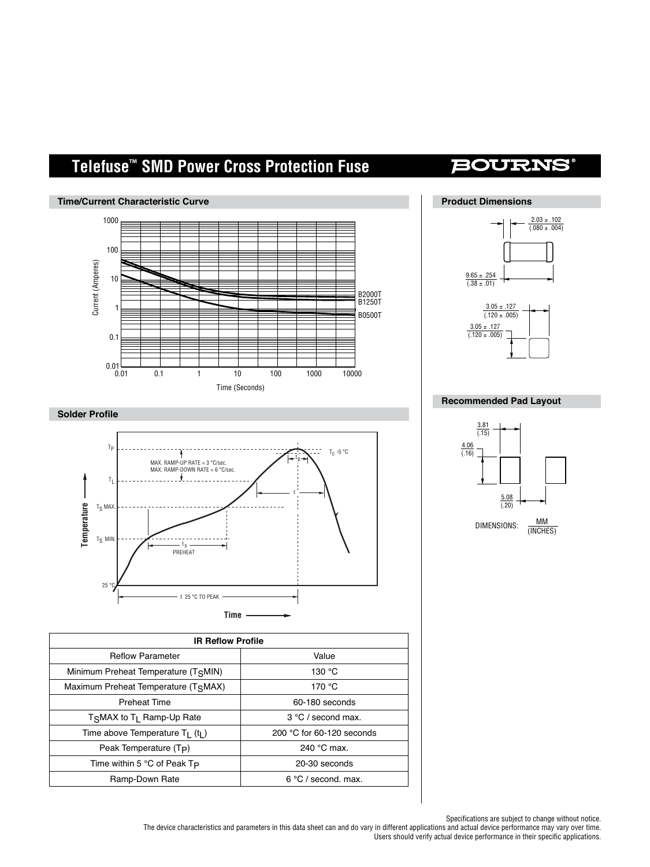# **Telefuse™ SMD Power Cross Protection Fuse**



| <b>IR Reflow Profile</b>                          |                                    |  |  |  |  |
|---------------------------------------------------|------------------------------------|--|--|--|--|
| <b>Reflow Parameter</b>                           | Value                              |  |  |  |  |
| Minimum Preheat Temperature (TSMIN)               | 130 °C                             |  |  |  |  |
| Maximum Preheat Temperature (TSMAX)               | 170 $\degree$ C                    |  |  |  |  |
| <b>Preheat Time</b>                               | 60-180 seconds                     |  |  |  |  |
| T <sub>S</sub> MAX to T <sub>1</sub> Ramp-Up Rate | 3 °C / second max.                 |  |  |  |  |
| Time above Temperature $T_1$ (t <sub>1</sub> )    | 200 $\degree$ C for 60-120 seconds |  |  |  |  |
| Peak Temperature (T <sub>P</sub> )                | 240 °C max.                        |  |  |  |  |
| Time within 5 °C of Peak Tp                       | 20-30 seconds                      |  |  |  |  |
| Ramp-Down Rate                                    | $6^{\circ}$ C / second. max.       |  |  |  |  |

## $2.03 \pm .102$  $(0.080 \pm 0.004)$

**BOURNS** 



### **Recommended Pad Layout**



Specifications are subject to change without notice.